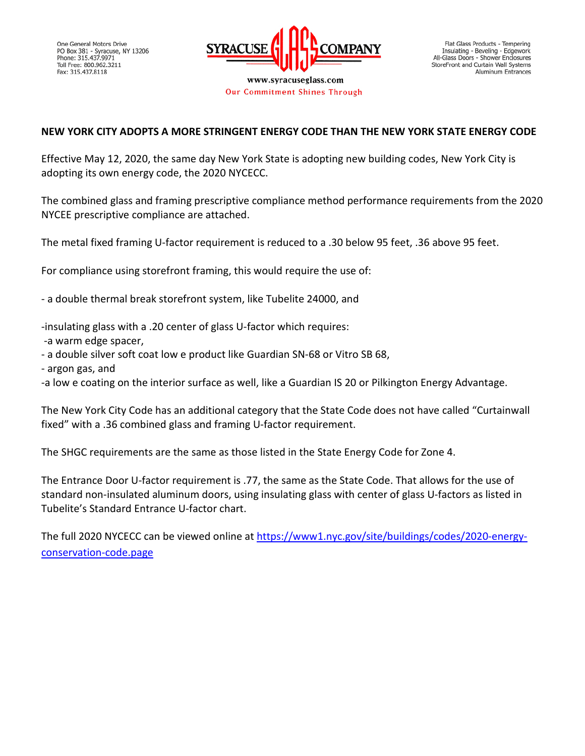

www.syracuseglass.com Our Commitment Shines Through

## **NEW YORK CITY ADOPTS A MORE STRINGENT ENERGY CODE THAN THE NEW YORK STATE ENERGY CODE**

Effective May 12, 2020, the same day New York State is adopting new building codes, New York City is adopting its own energy code, the 2020 NYCECC.

The combined glass and framing prescriptive compliance method performance requirements from the 2020 NYCEE prescriptive compliance are attached.

The metal fixed framing U-factor requirement is reduced to a .30 below 95 feet, .36 above 95 feet.

For compliance using storefront framing, this would require the use of:

- a double thermal break storefront system, like Tubelite 24000, and

-insulating glass with a .20 center of glass U-factor which requires:

- -a warm edge spacer,
- a double silver soft coat low e product like Guardian SN-68 or Vitro SB 68,
- argon gas, and

-a low e coating on the interior surface as well, like a Guardian IS 20 or Pilkington Energy Advantage.

The New York City Code has an additional category that the State Code does not have called "Curtainwall fixed" with a .36 combined glass and framing U-factor requirement.

The SHGC requirements are the same as those listed in the State Energy Code for Zone 4.

The Entrance Door U-factor requirement is .77, the same as the State Code. That allows for the use of standard non-insulated aluminum doors, using insulating glass with center of glass U-factors as listed in Tubelite's Standard Entrance U-factor chart.

The full 2020 NYCECC can be viewed online at [https://www1.nyc.gov/site/buildings/codes/2020-energy](https://www1.nyc.gov/site/buildings/codes/2020-energy-conservation-code.page)[conservation-code.page](https://www1.nyc.gov/site/buildings/codes/2020-energy-conservation-code.page)